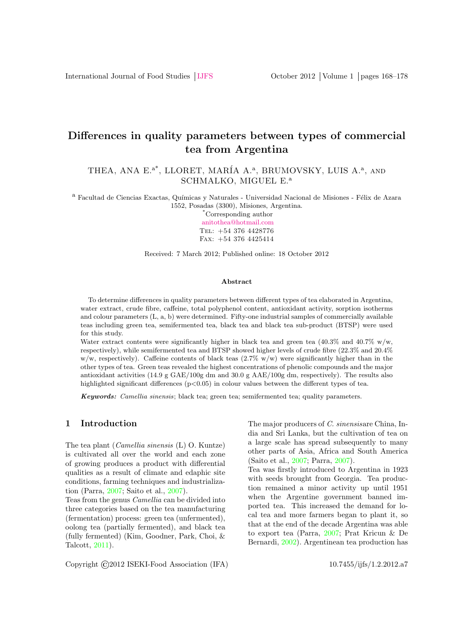# Differences in quality parameters between types of commercial tea from Argentina

THEA, ANA E.<sup>a\*</sup>, LLORET, MARÍA A.<sup>a</sup>, BRUMOVSKY, LUIS A.<sup>a</sup>, AND SCHMALKO, MIGUEL E.<sup>a</sup>

<sup>a</sup> Facultad de Ciencias Exactas, Químicas y Naturales - Universidad Nacional de Misiones - Félix de Azara 1552, Posadas (3300), Misiones, Argentina.

\*Corresponding author [anitothea@hotmail.com](mailto: anitothea@hotmail.com) Tel: +54 376 4428776 Fax: +54 376 4425414

Received: 7 March 2012; Published online: 18 October 2012

#### Abstract

To determine differences in quality parameters between different types of tea elaborated in Argentina, water extract, crude fibre, caffeine, total polyphenol content, antioxidant activity, sorption isotherms and colour parameters (L, a, b) were determined. Fifty-one industrial samples of commercially available teas including green tea, semifermented tea, black tea and black tea sub-product (BTSP) were used for this study.

Water extract contents were significantly higher in black tea and green tea  $(40.3\% \text{ and } 40.7\% \text{ w/w},$ respectively), while semifermented tea and BTSP showed higher levels of crude fibre (22.3% and 20.4% w/w, respectively). Caffeine contents of black teas  $(2.7\% \text{ w/w})$  were significantly higher than in the other types of tea. Green teas revealed the highest concentrations of phenolic compounds and the major antioxidant activities (14.9 g GAE/100g dm and 30.0 g AAE/100g dm, respectively). The results also highlighted significant differences  $(p<0.05)$  in colour values between the different types of tea.

Keywords: Camellia sinensis; black tea; green tea; semifermented tea; quality parameters.

### 1 Introduction

The tea plant (Camellia sinensis (L) O. Kuntze) is cultivated all over the world and each zone of growing produces a product with differential qualities as a result of climate and edaphic site conditions, farming techniques and industrialization (Parra, [2007;](#page-10-0) Saito et al., [2007\)](#page-10-1).

Teas from the genus Camellia can be divided into three categories based on the tea manufacturing (fermentation) process: green tea (unfermented), oolong tea (partially fermented), and black tea (fully fermented) (Kim, Goodner, Park, Choi, & Talcott, [2011\)](#page-9-0).

The major producers of C. sinensisare China, India and Sri Lanka, but the cultivation of tea on a large scale has spread subsequently to many other parts of Asia, Africa and South America (Saito et al., [2007;](#page-10-1) Parra, [2007\)](#page-10-0).

Tea was firstly introduced to Argentina in 1923 with seeds brought from Georgia. Tea production remained a minor activity up until 1951 when the Argentine government banned imported tea. This increased the demand for local tea and more farmers began to plant it, so that at the end of the decade Argentina was able to export tea (Parra, [2007;](#page-10-0) Prat Kricun & De Bernardi, [2002\)](#page-10-2). Argentinean tea production has

Copyright ©2012 ISEKI-Food Association (IFA) 10.7455/ijfs/1.2.2012.a7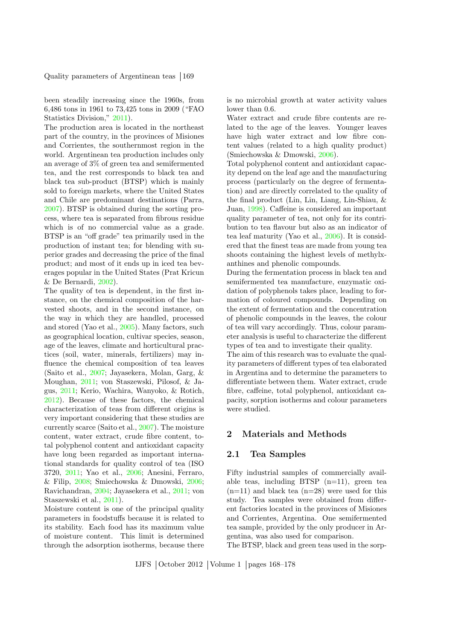been steadily increasing since the 1960s, from 6,486 tons in 1961 to 73,425 tons in 2009 ("FAO Statistics Division," [2011\)](#page-9-1).

The production area is located in the northeast part of the country, in the provinces of Misiones and Corrientes, the southernmost region in the world. Argentinean tea production includes only an average of 3% of green tea and semifermented tea, and the rest corresponds to black tea and black tea sub-product (BTSP) which is mainly sold to foreign markets, where the United States and Chile are predominant destinations (Parra, [2007\)](#page-10-0). BTSP is obtained during the sorting process, where tea is separated from fibrous residue which is of no commercial value as a grade. BTSP is an "off grade" tea primarily used in the production of instant tea; for blending with superior grades and decreasing the price of the final product; and most of it ends up in iced tea beverages popular in the United States (Prat Kricun & De Bernardi, [2002\)](#page-10-2).

The quality of tea is dependent, in the first instance, on the chemical composition of the harvested shoots, and in the second instance, on the way in which they are handled, processed and stored (Yao et al., [2005\)](#page-10-3). Many factors, such as geographical location, cultivar species, season, age of the leaves, climate and horticultural practices (soil, water, minerals, fertilizers) may influence the chemical composition of tea leaves (Saito et al., [2007;](#page-10-1) Jayasekera, Molan, Garg, & Moughan, [2011;](#page-9-2) von Staszewski, Pilosof, & Jagus, [2011;](#page-10-4) Kerio, Wachira, Wanyoko, & Rotich, [2012\)](#page-9-3). Because of these factors, the chemical characterization of teas from different origins is very important considering that these studies are currently scarce (Saito et al., [2007\)](#page-10-1). The moisture content, water extract, crude fibre content, total polyphenol content and antioxidant capacity have long been regarded as important international standards for quality control of tea (ISO 3720, [2011;](#page-9-4) Yao et al., [2006;](#page-10-5) Anesini, Ferraro, & Filip, [2008;](#page-8-0) Smiechowska & Dmowski, [2006;](#page-10-6) Ravichandran, [2004;](#page-10-7) Jayasekera et al., [2011;](#page-9-2) von Staszewski et al., [2011\)](#page-10-4).

Moisture content is one of the principal quality parameters in foodstuffs because it is related to its stability. Each food has its maximum value of moisture content. This limit is determined through the adsorption isotherms, because there

is no microbial growth at water activity values lower than 0.6.

Water extract and crude fibre contents are related to the age of the leaves. Younger leaves have high water extract and low fibre content values (related to a high quality product) (Smiechowska & Dmowski, [2006\)](#page-10-6).

Total polyphenol content and antioxidant capacity depend on the leaf age and the manufacturing process (particularly on the degree of fermentation) and are directly correlated to the quality of the final product (Lin, Lin, Liang, Lin-Shiau, & Juan, [1998\)](#page-9-5). Caffeine is considered an important quality parameter of tea, not only for its contribution to tea flavour but also as an indicator of tea leaf maturity (Yao et al., [2006\)](#page-10-5). It is considered that the finest teas are made from young tea shoots containing the highest levels of methylxanthines and phenolic compounds.

During the fermentation process in black tea and semifermented tea manufacture, enzymatic oxidation of polyphenols takes place, leading to formation of coloured compounds. Depending on the extent of fermentation and the concentration of phenolic compounds in the leaves, the colour of tea will vary accordingly. Thus, colour parameter analysis is useful to characterize the different types of tea and to investigate their quality.

The aim of this research was to evaluate the quality parameters of different types of tea elaborated in Argentina and to determine the parameters to differentiate between them. Water extract, crude fibre, caffeine, total polyphenol, antioxidant capacity, sorption isotherms and colour parameters were studied.

### 2 Materials and Methods

## 2.1 Tea Samples

Fifty industrial samples of commercially available teas, including BTSP (n=11), green tea  $(n=11)$  and black tea  $(n=28)$  were used for this study. Tea samples were obtained from different factories located in the provinces of Misiones and Corrientes, Argentina. One semifermented tea sample, provided by the only producer in Argentina, was also used for comparison.

The BTSP, black and green teas used in the sorp-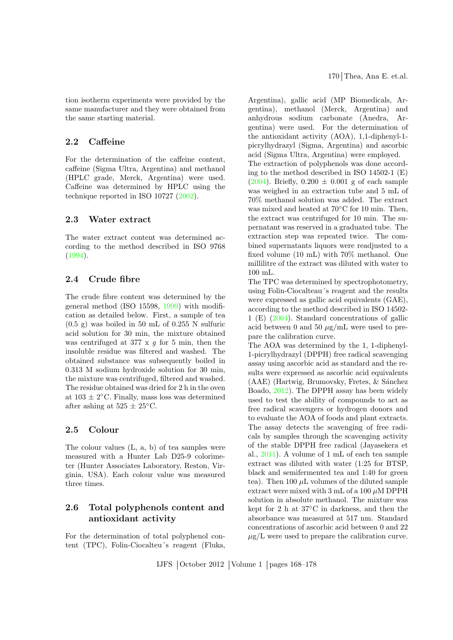tion isotherm experiments were provided by the same manufacturer and they were obtained from the same starting material.

# 2.2 Caffeine

For the determination of the caffeine content, caffeine (Sigma Ultra, Argentina) and methanol (HPLC grade, Merck, Argentina) were used. Caffeine was determined by HPLC using the technique reported in ISO 10727 [\(2002\)](#page-9-6).

# 2.3 Water extract

The water extract content was determined according to the method described in ISO 9768 [\(1994\)](#page-9-7).

# 2.4 Crude fibre

The crude fibre content was determined by the general method (ISO 15598, [1999\)](#page-9-8) with modification as detailed below. First, a sample of tea  $(0.5 \text{ g})$  was boiled in 50 mL of 0.255 N sulfuric acid solution for 30 min, the mixture obtained was centrifuged at 377 x  $g$  for 5 min, then the insoluble residue was filtered and washed. The obtained substance was subsequently boiled in 0.313 M sodium hydroxide solution for 30 min, the mixture was centrifuged, filtered and washed. The residue obtained was dried for 2 h in the oven at  $103 \pm 2$ °C. Finally, mass loss was determined after ashing at  $525 \pm 25^{\circ}$ C.

## 2.5 Colour

The colour values (L, a, b) of tea samples were measured with a Hunter Lab D25-9 colorimeter (Hunter Associates Laboratory, Reston, Virginia, USA). Each colour value was measured three times.

# 2.6 Total polyphenols content and antioxidant activity

For the determination of total polyphenol content (TPC), Folin-Ciocalteu´s reagent (Fluka, Argentina), gallic acid (MP Biomedicals, Argentina), methanol (Merck, Argentina) and anhydrous sodium carbonate (Anedra, Argentina) were used. For the determination of the antioxidant activity (AOA), 1,1-diphenyl-1 picrylhydrazyl (Sigma, Argentina) and ascorbic acid (Sigma Ultra, Argentina) were employed. The extraction of polyphenols was done according to the method described in ISO 14502-1 (E) [\(2004\)](#page-9-9). Briefly,  $0.200 \pm 0.001$  g of each sample was weighed in an extraction tube and 5 mL of 70% methanol solution was added. The extract was mixed and heated at 70◦C for 10 min. Then, the extract was centrifuged for 10 min. The supernatant was reserved in a graduated tube. The extraction step was repeated twice. The combined supernatants liquors were readjusted to a fixed volume (10 mL) with 70% methanol. One millilitre of the extract was diluted with water to 100 mL.

The TPC was determined by spectrophotometry, using Folin-Ciocalteau´s reagent and the results were expressed as gallic acid equivalents (GAE), according to the method described in ISO 14502- 1 (E) [\(2004\)](#page-9-9). Standard concentrations of gallic acid between 0 and 50  $\mu$ g/mL were used to prepare the calibration curve.

The AOA was determined by the 1, 1-diphenyl-1-picrylhydrazyl (DPPH) free radical scavenging assay using ascorbic acid as standard and the results were expressed as ascorbic acid equivalents  $(AAE)$  (Hartwig, Brumovsky, Fretes, & Sánchez) Boado, [2012\)](#page-9-10). The DPPH assay has been widely used to test the ability of compounds to act as free radical scavengers or hydrogen donors and to evaluate the AOA of foods and plant extracts. The assay detects the scavenging of free radicals by samples through the scavenging activity of the stable DPPH free radical (Jayasekera et al., [2011\)](#page-9-2). A volume of 1 mL of each tea sample extract was diluted with water (1:25 for BTSP, black and semifermented tea and 1:40 for green tea). Then 100  $\mu$ L volumes of the diluted sample extract were mixed with  $3 \text{ mL of a } 100 \mu \text{M DPPH}$ solution in absolute methanol. The mixture was kept for 2 h at 37◦C in darkness, and then the absorbance was measured at 517 nm. Standard concentrations of ascorbic acid between 0 and 22  $\mu$ g/L were used to prepare the calibration curve.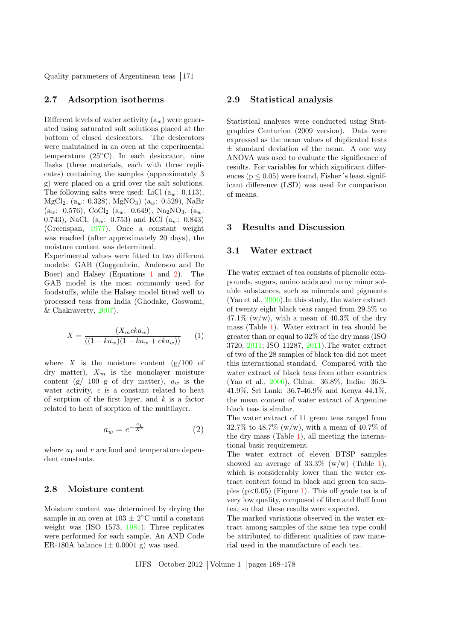#### 2.7 Adsorption isotherms

Different levels of water activity  $(a_w)$  were generated using saturated salt solutions placed at the bottom of closed desiccators. The desiccators were maintained in an oven at the experimental temperature (25◦C). In each desiccator, nine flasks (three materials, each with three replicates) containing the samples (approximately 3 g) were placed on a grid over the salt solutions. The following salts were used: LiCl  $(a_w: 0.113)$ , MgCl<sub>2</sub>, (a<sub>w</sub>: 0.328), MgNO<sub>3</sub>) (a<sub>w</sub>: 0.529), NaBr  $(a_w: 0.576), \text{CoCl}_2 (a_w: 0.649), \text{Na}_2\text{NO}_3, (a_w:$ 0.743), NaCl,  $(a_w: 0.753)$  and KCl  $(a_w: 0.843)$ (Greenspan, [1977\)](#page-9-11). Once a constant weight was reached (after approximately 20 days), the moisture content was determined.

Experimental values were fitted to two different models: GAB (Guggenhein, Anderson and De Boer) and Halsey (Equations [1](#page-3-0) and [2\)](#page-3-1). The GAB model is the most commonly used for foodstuffs, while the Halsey model fitted well to processed teas from India (Ghodake, Goswami, & Chakraverty, [2007\)](#page-9-12).

<span id="page-3-0"></span>
$$
X = \frac{(X_m c k a_w)}{((1 - k a_w)(1 - k a_w + c k a_w))}
$$
 (1)

where  $X$  is the moisture content  $(g/100)$  of dry matter),  $X_m$  is the monolayer moisture content (g/ 100 g of dry matter),  $a_w$  is the water activity, c is a constant related to heat of sorption of the first layer, and  $k$  is a factor related to heat of sorption of the multilayer.

<span id="page-3-1"></span>
$$
a_w = e^{-\frac{a_1}{X^r}} \tag{2}
$$

where  $a_1$  and r are food and temperature dependent constants.

#### 2.8 Moisture content

Moisture content was determined by drying the sample in an oven at  $103 \pm 2$ <sup>o</sup>C until a constant weight was (ISO 1573, [1981\)](#page-9-13). Three replicates were performed for each sample. An AND Code ER-180A balance  $(\pm 0.0001 \text{ g})$  was used.

#### 2.9 Statistical analysis

Statistical analyses were conducted using Statgraphics Centurion (2009 version). Data were expressed as the mean values of duplicated tests  $\pm$  standard deviation of the mean. A one way ANOVA was used to evaluate the significance of results. For variables for which significant differences ( $p < 0.05$ ) were found, Fisher's least significant difference (LSD) was used for comparison of means.

# 3 Results and Discussion

#### 3.1 Water extract

The water extract of tea consists of phenolic compounds, sugars, amino acids and many minor soluble substances, such as minerals and pigments (Yao et al., [2006\)](#page-10-5).In this study, the water extract of twenty eight black teas ranged from 29.5% to  $47.1\%$  (w/w), with a mean of  $40.3\%$  of the dry mass (Table [1\)](#page-5-0). Water extract in tea should be greater than or equal to 32% of the dry mass (ISO 3720, [2011;](#page-9-4) ISO 11287, [2011\)](#page-9-14).The water extract of two of the 28 samples of black tea did not meet this international standard. Compared with the water extract of black teas from other countries (Yao et al., [2006\)](#page-10-5), China: 36.8%, India: 36.9- 41.9%, Sri Lank: 36.7-46.9% and Kenya 44.1%, the mean content of water extract of Argentine black teas is similar.

The water extract of 11 green teas ranged from 32.7% to 48.7% (w/w), with a mean of 40.7% of the dry mass (Table [1\)](#page-5-0), all meeting the international basic requirement.

The water extract of eleven BTSP samples showed an average of  $33.3\%$  (w/w) (Table [1\)](#page-5-0), which is considerably lower than the water extract content found in black and green tea samples  $(p<0.05)$  (Figure [1\)](#page-4-0). This off grade tea is of very low quality, composed of fibre and fluff from tea, so that these results were expected.

The marked variations observed in the water extract among samples of the same tea type could be attributed to different qualities of raw material used in the manufacture of each tea.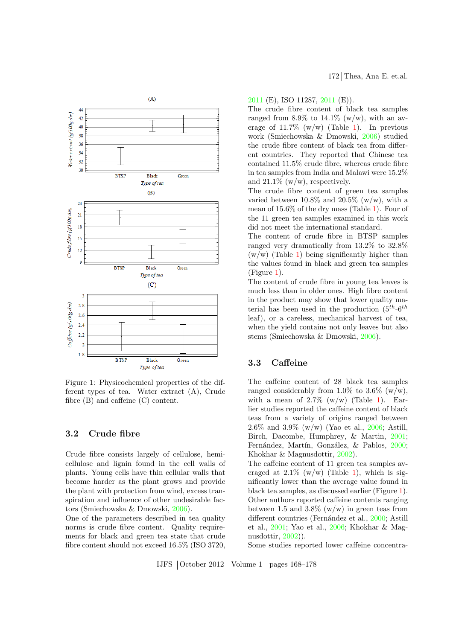

<span id="page-4-0"></span>Figure 1: Physicochemical properties of the different types of tea. Water extract (A), Crude fibre (B) and caffeine (C) content.

### 3.2 Crude fibre

Crude fibre consists largely of cellulose, hemicellulose and lignin found in the cell walls of plants. Young cells have thin cellular walls that become harder as the plant grows and provide the plant with protection from wind, excess transpiration and influence of other undesirable factors (Smiechowska & Dmowski, [2006\)](#page-10-6).

One of the parameters described in tea quality norms is crude fibre content. Quality requirements for black and green tea state that crude fibre content should not exceed 16.5% (ISO 3720, [2011](#page-9-4) (E), ISO 11287, [2011](#page-9-14) (E)).

The crude fibre content of black tea samples ranged from 8.9% to 14.1% (w/w), with an average of  $11.7\%$  (w/w) (Table [1\)](#page-5-0). In previous work (Smiechowska & Dmowski, [2006\)](#page-10-6) studied the crude fibre content of black tea from different countries. They reported that Chinese tea contained 11.5% crude fibre, whereas crude fibre in tea samples from India and Malawi were 15.2% and  $21.1\%$  (w/w), respectively.

The crude fibre content of green tea samples varied between  $10.8\%$  and  $20.5\%$  (w/w), with a mean of 15.6% of the dry mass (Table [1\)](#page-5-0). Four of the 11 green tea samples examined in this work did not meet the international standard.

The content of crude fibre in BTSP samples ranged very dramatically from 13.2% to 32.8%  $(w/w)$  (Table [1\)](#page-5-0) being significantly higher than the values found in black and green tea samples (Figure [1\)](#page-4-0).

The content of crude fibre in young tea leaves is much less than in older ones. High fibre content in the product may show that lower quality material has been used in the production  $(5^{th} - 6^{th})$ leaf), or a careless, mechanical harvest of tea, when the yield contains not only leaves but also stems (Smiechowska & Dmowski, [2006\)](#page-10-6).

# 3.3 Caffeine

The caffeine content of 28 black tea samples ranged considerably from 1.0% to 3.6%  $(w/w)$ , with a mean of  $2.7\%$  (w/w) (Table [1\)](#page-5-0). Earlier studies reported the caffeine content of black teas from a variety of origins ranged between 2.6% and 3.9% (w/w) (Yao et al., [2006;](#page-10-5) Astill, Birch, Dacombe, Humphrey, & Martin, [2001;](#page-9-15) Fernández, Martín, González, & Pablos, [2000;](#page-9-16) Khokhar & Magnusdottir, [2002\)](#page-9-17).

The caffeine content of 11 green tea samples averaged at  $2.1\%$  (w/w) (Table [1\)](#page-5-0), which is significantly lower than the average value found in black tea samples, as discussed earlier (Figure [1\)](#page-4-0). Other authors reported caffeine contents ranging between 1.5 and 3.8%  $(w/w)$  in green teas from different countries (Fernández et al., [2000;](#page-9-16) Astill et al., [2001;](#page-9-15) Yao et al., [2006;](#page-10-5) Khokhar & Magnusdottir, [2002\)](#page-9-17)).

Some studies reported lower caffeine concentra-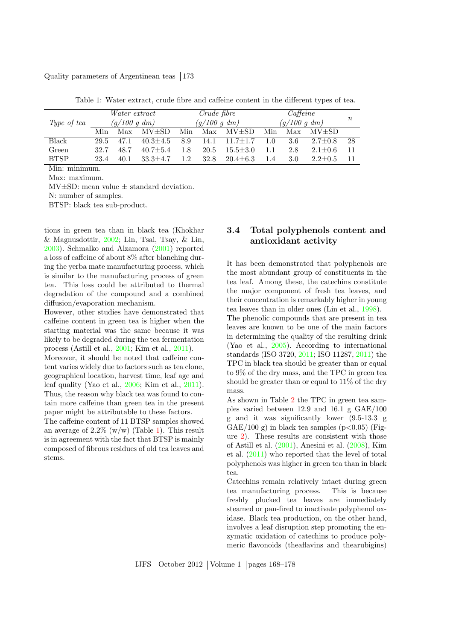|             | <i>Water extract</i><br>$(g/100\ g\ dm)$ |      | <i>Crude fibre</i><br>$(g/100\ g\ dm)$ |     |      | $C$ affeine<br>$(g/100\ g\ dm)$ |     |     | $\it n$       |     |
|-------------|------------------------------------------|------|----------------------------------------|-----|------|---------------------------------|-----|-----|---------------|-----|
| Type of tea |                                          |      |                                        |     |      |                                 |     |     |               |     |
|             | Min                                      | Max  | $MV{\pm}SD$                            | Min | Max  | MV±SD                           | Min | Max | $MV{\pm}SD$   |     |
| Black       | 29.5                                     | 47.1 | $40.3 \pm 4.5$                         | 8.9 | 14.1 | $11.7 \pm 1.7$                  | 1.0 | 3.6 | $2.7 \pm 0.8$ | -28 |
| Green       | 32.7                                     | 48.7 | $40.7 + 5.4$                           | 1.8 | 20.5 | $15.5 \pm 3.0$                  | 1.1 | 2.8 | $2.1 \pm 0.6$ | -11 |
| <b>BTSP</b> | 23.4                                     | 40.1 | $33.3 \pm 4.7$                         | 1.2 | 32.8 | $20.4 \pm 6.3$                  | 1.4 | 3.0 | $2.2 \pm 0.5$ |     |
| ъ г.        |                                          |      |                                        |     |      |                                 |     |     |               |     |

<span id="page-5-0"></span>Table 1: Water extract, crude fibre and caffeine content in the different types of tea.

Min: minimum. Max: maximum.

 $MV\pm SD$ : mean value  $\pm$  standard deviation.

N: number of samples.

BTSP: black tea sub-product.

tions in green tea than in black tea (Khokhar & Magnusdottir, [2002;](#page-9-17) Lin, Tsai, Tsay, & Lin, [2003\)](#page-9-18). Schmalko and Alzamora [\(2001\)](#page-10-8) reported a loss of caffeine of about 8% after blanching during the yerba mate manufacturing process, which is similar to the manufacturing process of green tea. This loss could be attributed to thermal degradation of the compound and a combined diffusion/evaporation mechanism.

However, other studies have demonstrated that caffeine content in green tea is higher when the starting material was the same because it was likely to be degraded during the tea fermentation process (Astill et al., [2001;](#page-9-15) Kim et al., [2011\)](#page-9-0).

Moreover, it should be noted that caffeine content varies widely due to factors such as tea clone, geographical location, harvest time, leaf age and leaf quality (Yao et al., [2006;](#page-10-5) Kim et al., [2011\)](#page-9-0). Thus, the reason why black tea was found to contain more caffeine than green tea in the present paper might be attributable to these factors.

The caffeine content of 11 BTSP samples showed an average of  $2.2\%$  (w/w) (Table [1\)](#page-5-0). This result is in agreement with the fact that BTSP is mainly composed of fibrous residues of old tea leaves and stems.

# 3.4 Total polyphenols content and antioxidant activity

It has been demonstrated that polyphenols are the most abundant group of constituents in the tea leaf. Among these, the catechins constitute the major component of fresh tea leaves, and their concentration is remarkably higher in young tea leaves than in older ones (Lin et al., [1998\)](#page-9-5).

The phenolic compounds that are present in tea leaves are known to be one of the main factors in determining the quality of the resulting drink (Yao et al., [2005\)](#page-10-3). According to international standards (ISO 3720, [2011;](#page-9-4) ISO 11287, [2011\)](#page-9-14) the TPC in black tea should be greater than or equal to 9% of the dry mass, and the TPC in green tea should be greater than or equal to 11% of the dry mass.

As shown in Table [2](#page-6-0) the TPC in green tea samples varied between 12.9 and 16.1 g GAE/100 g and it was significantly lower (9.5-13.3 g GAE/100 g) in black tea samples  $(p<0.05)$  (Figure [2\)](#page-6-1). These results are consistent with those of Astill et al. [\(2001\)](#page-9-15), Anesini et al. [\(2008\)](#page-8-0), Kim et al. [\(2011\)](#page-9-0) who reported that the level of total polyphenols was higher in green tea than in black tea.

Catechins remain relatively intact during green tea manufacturing process. This is because freshly plucked tea leaves are immediately steamed or pan-fired to inactivate polyphenol oxidase. Black tea production, on the other hand, involves a leaf disruption step promoting the enzymatic oxidation of catechins to produce polymeric flavonoids (theaflavins and thearubigins)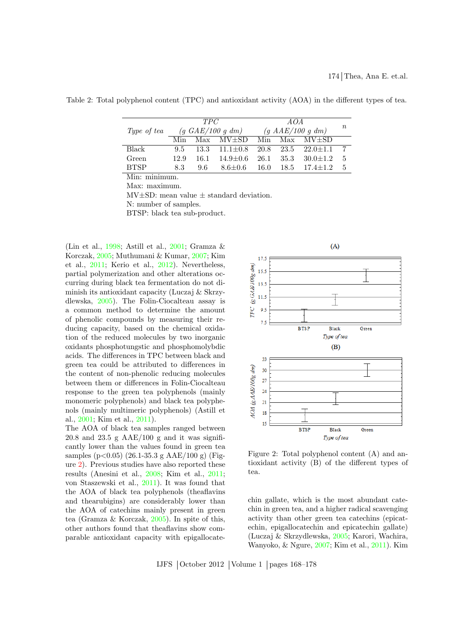<span id="page-6-0"></span>Table 2: Total polyphenol content (TPC) and antioxidant activity (AOA) in the different types of tea.

|             | TPC  |                                               |                           | AOA              |      |                       |          |
|-------------|------|-----------------------------------------------|---------------------------|------------------|------|-----------------------|----------|
| Type of tea |      | $(g \text{ } GAE/100 \text{ } g \text{ } dm)$ |                           | (g AAE/100 g dm) |      |                       | $\it{n}$ |
|             | Min  |                                               | $Max$ $MV\pm SD$          | Min              |      | $Max$ $MV{\pm}SD$     |          |
| Black       | 9.5  |                                               | $13.3 \quad 11.1 \pm 0.8$ | 20.8             |      | $23.5$ $22.0 \pm 1.1$ |          |
| Green       | 12.9 | 16.1                                          | $14.9 \pm 0.6$            | 26.1             | 35.3 | $30.0 \pm 1.2$        | 5        |
| <b>BTSP</b> | 8.3  | 9.6                                           | $8.6 \pm 0.6$             | 16.0             | 18.5 | $17.4 \pm 1.2$        | 5        |
|             |      |                                               |                           |                  |      |                       |          |

Min: minimum.

Max: maximum.

 $MV\pm SD$ : mean value  $\pm$  standard deviation.

N: number of samples.

BTSP: black tea sub-product.

(Lin et al., [1998;](#page-9-5) Astill et al., [2001;](#page-9-15) Gramza & Korczak, [2005;](#page-9-19) Muthumani & Kumar, [2007;](#page-10-9) Kim et al., [2011;](#page-9-0) Kerio et al., [2012\)](#page-9-3). Nevertheless, partial polymerization and other alterations occurring during black tea fermentation do not diminish its antioxidant capacity (Luczaj & Skrzydlewska, [2005\)](#page-10-10). The Folin-Ciocalteau assay is a common method to determine the amount of phenolic compounds by measuring their reducing capacity, based on the chemical oxidation of the reduced molecules by two inorganic oxidants phosphotungstic and phosphomolybdic acids. The differences in TPC between black and green tea could be attributed to differences in the content of non-phenolic reducing molecules between them or differences in Folin-Ciocalteau response to the green tea polyphenols (mainly monomeric polyphenols) and black tea polyphenols (mainly multimeric polyphenols) (Astill et al., [2001;](#page-9-15) Kim et al., [2011\)](#page-9-0).

The AOA of black tea samples ranged between 20.8 and 23.5 g  $AAE/100$  g and it was significantly lower than the values found in green tea samples ( $p < 0.05$ ) (26.1-35.3 g AAE/100 g) (Figure [2\)](#page-6-1). Previous studies have also reported these results (Anesini et al., [2008;](#page-8-0) Kim et al., [2011;](#page-9-0) von Staszewski et al., [2011\)](#page-10-4). It was found that the AOA of black tea polyphenols (theaflavins and thearubigins) are considerably lower than the AOA of catechins mainly present in green tea (Gramza & Korczak, [2005\)](#page-9-19). In spite of this, other authors found that theaflavins show comparable antioxidant capacity with epigallocate-



<span id="page-6-1"></span>Figure 2: Total polyphenol content (A) and antioxidant activity (B) of the different types of tea.

chin gallate, which is the most abundant catechin in green tea, and a higher radical scavenging activity than other green tea catechins (epicatechin, epigallocatechin and epicatechin gallate) (Luczaj & Skrzydlewska, [2005;](#page-10-10) Karori, Wachira, Wanyoko, & Ngure, [2007;](#page-9-20) Kim et al., [2011\)](#page-9-0). Kim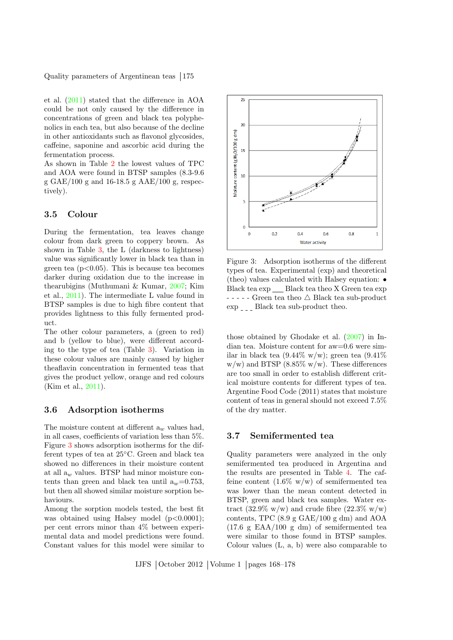et al. [\(2011\)](#page-9-0) stated that the difference in AOA could be not only caused by the difference in concentrations of green and black tea polyphenolics in each tea, but also because of the decline in other antioxidants such as flavonol glycosides, caffeine, saponine and ascorbic acid during the fermentation process.

As shown in Table [2](#page-6-0) the lowest values of TPC and AOA were found in BTSP samples (8.3-9.6 g GAE/100 g and 16-18.5 g AAE/100 g, respectively).

# 3.5 Colour

During the fermentation, tea leaves change colour from dark green to coppery brown. As shown in Table [3,](#page-8-1) the L (darkness to lightness) value was significantly lower in black tea than in green tea  $(p<0.05)$ . This is because tea becomes darker during oxidation due to the increase in thearubigins (Muthumani & Kumar, [2007;](#page-10-9) Kim et al., [2011\)](#page-9-0). The intermediate L value found in BTSP samples is due to high fibre content that provides lightness to this fully fermented product.

The other colour parameters, a (green to red) and b (yellow to blue), were different according to the type of tea (Table [3\)](#page-8-1). Variation in these colour values are mainly caused by higher theaflavin concentration in fermented teas that gives the product yellow, orange and red colours (Kim et al., [2011\)](#page-9-0).

### 3.6 Adsorption isotherms

The moisture content at different  $a_w$  values had, in all cases, coefficients of variation less than 5%. Figure [3](#page-7-0) shows adsorption isotherms for the different types of tea at 25◦C. Green and black tea showed no differences in their moisture content at all  $a_w$  values. BTSP had minor moisture contents than green and black tea until  $a_w=0.753$ , but then all showed similar moisture sorption behaviours.

Among the sorption models tested, the best fit was obtained using Halsey model  $(p<0.0001)$ ; per cent errors minor than 4% between experimental data and model predictions were found. Constant values for this model were similar to



<span id="page-7-0"></span>Figure 3: Adsorption isotherms of the different types of tea. Experimental (exp) and theoretical (theo) values calculated with Halsey equation: • Black tea exp \_\_ Black tea theo X Green tea exp  $---$  Green tea theo  $\triangle$  Black tea sub-product  $\exp$   $\frac{1}{2}$  Black tea sub-product theo.

those obtained by Ghodake et al. [\(2007\)](#page-9-12) in Indian tea. Moisture content for aw=0.6 were similar in black tea  $(9.44\% \text{ w/w})$ ; green tea  $(9.41\%$  $w/w$ ) and BTSP (8.85%  $w/w$ ). These differences are too small in order to establish different critical moisture contents for different types of tea. Argentine Food Code (2011) states that moisture content of teas in general should not exceed 7.5% of the dry matter.

# 3.7 Semifermented tea

Quality parameters were analyzed in the only semifermented tea produced in Argentina and the results are presented in Table [4.](#page-8-2) The caffeine content  $(1.6\% \text{ w/w})$  of semifermented tea was lower than the mean content detected in BTSP, green and black tea samples. Water extract (32.9% w/w) and crude fibre (22.3% w/w) contents, TPC (8.9 g GAE/100 g dm) and AOA  $(17.6 \text{ g } EAA/100 \text{ g } dm)$  of semifermented tea were similar to those found in BTSP samples. Colour values (L, a, b) were also comparable to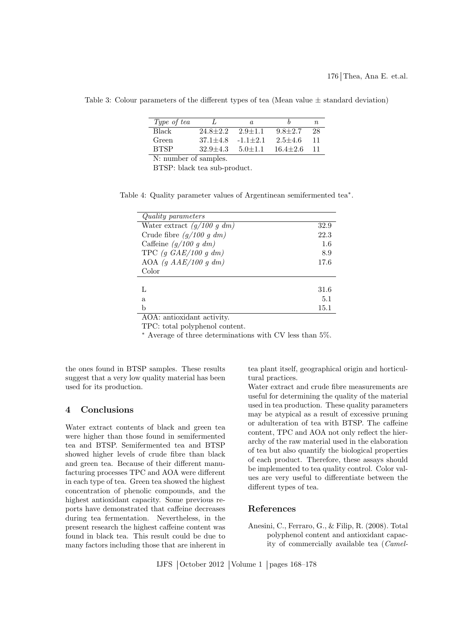| Type of tea             |              | a.            |                | n. |  |  |  |
|-------------------------|--------------|---------------|----------------|----|--|--|--|
| Black                   | $24.8 + 2.2$ | $2.9 + 1.1$   | $9.8 + 2.7$    | 28 |  |  |  |
| Green                   | $37.1 + 4.8$ | $-1.1+2.1$    | $2.5 + 4.6$    |    |  |  |  |
| <b>BTSP</b>             | $32.9 + 4.3$ | $5.0 \pm 1.1$ | $16.4 \pm 2.6$ |    |  |  |  |
| $N_1$ number of samples |              |               |                |    |  |  |  |

<span id="page-8-1"></span>Table 3: Colour parameters of the different types of tea (Mean value  $\pm$  standard deviation)

N: number of samples.

<span id="page-8-2"></span>BTSP: black tea sub-product.

Table 4: Quality parameter values of Argentinean semifermented tea<sup>∗</sup> .

| Quality parameters                                |      |
|---------------------------------------------------|------|
| Water extract $(g/100 g dm)$                      | 32.9 |
| Crude fibre $(g/100 g dm)$                        | 22.3 |
| Caffeine $(g/100 g dm)$                           | 1.6  |
| TPC $(g \text{ } GAE/100 \text{ } g \text{ } dm)$ | 8.9  |
| AOA $(g \, AAE/100 \, g \, dm)$                   | 17.6 |
| Color                                             |      |
| Τ.                                                | 31.6 |
| a                                                 | 5.1  |
| b                                                 | 15.1 |
| AOA: antioxidant activity.                        |      |

TPC: total polyphenol content.

<sup>∗</sup> Average of three determinations with CV less than 5%.

the ones found in BTSP samples. These results suggest that a very low quality material has been used for its production.

### 4 Conclusions

Water extract contents of black and green tea were higher than those found in semifermented tea and BTSP. Semifermented tea and BTSP showed higher levels of crude fibre than black and green tea. Because of their different manufacturing processes TPC and AOA were different in each type of tea. Green tea showed the highest concentration of phenolic compounds, and the highest antioxidant capacity. Some previous reports have demonstrated that caffeine decreases during tea fermentation. Nevertheless, in the present research the highest caffeine content was found in black tea. This result could be due to many factors including those that are inherent in tea plant itself, geographical origin and horticultural practices.

Water extract and crude fibre measurements are useful for determining the quality of the material used in tea production. These quality parameters may be atypical as a result of excessive pruning or adulteration of tea with BTSP. The caffeine content, TPC and AOA not only reflect the hierarchy of the raw material used in the elaboration of tea but also quantify the biological properties of each product. Therefore, these assays should be implemented to tea quality control. Color values are very useful to differentiate between the different types of tea.

#### References

<span id="page-8-0"></span>Anesini, C., Ferraro, G., & Filip, R. (2008). Total polyphenol content and antioxidant capacity of commercially available tea (Camel-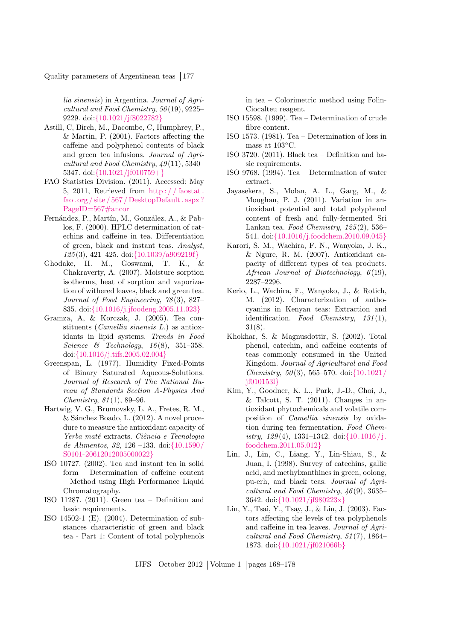lia sinensis) in Argentina. Journal of Agricultural and Food Chemistry, 56 (19), 9225– 9229. doi:{[10.1021/jf8022782](http://dx.doi.org/{10.1021/jf8022782})}

- <span id="page-9-15"></span>Astill, C, Birch, M., Dacombe, C, Humphrey, P., & Martin, P. (2001). Factors affecting the caffeine and polyphenol contents of black and green tea infusions. Journal of Agricultural and Food Chemistry,  $49(11)$ , 5340– 5347. doi:{[10.1021/jf010759+](http://dx.doi.org/{10.1021/jf010759+})}
- <span id="page-9-1"></span>FAO Statistics Division. (2011). Accessed: May 5, 2011, Retrieved from [http : / / faostat .](http://faostat.fao.org/site/567/DesktopDefault.aspx?PageID=567#ancor) [fao . org / site / 567 / DesktopDefault . aspx ?](http://faostat.fao.org/site/567/DesktopDefault.aspx?PageID=567#ancor) [PageID=567#ancor](http://faostat.fao.org/site/567/DesktopDefault.aspx?PageID=567#ancor)
- <span id="page-9-16"></span>Fernández, P., Martín, M., González, A., & Pablos, F. (2000). HPLC determination of catechins and caffeine in tea. Differentiation of green, black and instant teas. Analyst, 125 (3), 421–425. doi:{[10.1039/a909219f](http://dx.doi.org/{10.1039/a909219f})}
- <span id="page-9-12"></span>Ghodake, H. M., Goswami, T. K., & Chakraverty, A. (2007). Moisture sorption isotherms, heat of sorption and vaporization of withered leaves, black and green tea. Journal of Food Engineering, 78 (3), 827– 835. doi:{[10.1016/j.jfoodeng.2005.11.023](http://dx.doi.org/{10.1016/j.jfoodeng.2005.11.023})}
- <span id="page-9-19"></span>Gramza, A, & Korczak, J. (2005). Tea constituents (Camellia sinensis L.) as antioxidants in lipid systems. Trends in Food Science & Technology,  $16(8)$ ,  $351-358$ . doi:{[10.1016/j.tifs.2005.02.004](http://dx.doi.org/{10.1016/j.tifs.2005.02.004})}
- <span id="page-9-11"></span>Greenspan, L. (1977). Humidity Fixed-Points of Binary Saturated Aqueous-Solutions. Journal of Research of The National Bureau of Standards Section A-Physics And Chemistry, 81 (1), 89–96.
- <span id="page-9-10"></span>Hartwig, V. G., Brumovsky, L. A., Fretes, R. M.,  $&$  Sánchez Boado, L. (2012). A novel procedure to measure the antioxidant capacity of Yerba maté extracts. Ciência e Tecnologia de Alimentos, 32, 126 –133. doi:{[10.1590/](http://dx.doi.org/{10.1590/S0101-20612012005000022}) [S0101-20612012005000022](http://dx.doi.org/{10.1590/S0101-20612012005000022})}
- <span id="page-9-6"></span>ISO 10727. (2002). Tea and instant tea in solid form – Determination of caffeine content – Method using High Performance Liquid Chromatography.
- <span id="page-9-14"></span>ISO 11287. (2011). Green tea – Definition and basic requirements.
- <span id="page-9-9"></span>ISO 14502-1 (E). (2004). Determination of substances characteristic of green and black tea - Part 1: Content of total polyphenols

in tea – Colorimetric method using Folin-Ciocalteu reagent.

- <span id="page-9-8"></span>ISO 15598. (1999). Tea – Determination of crude fibre content.
- <span id="page-9-13"></span>ISO 1573. (1981). Tea – Determination of loss in mass at 103◦C.
- <span id="page-9-4"></span>ISO 3720. (2011). Black tea – Definition and basic requirements.
- <span id="page-9-7"></span>ISO 9768. (1994). Tea – Determination of water extract.
- <span id="page-9-2"></span>Jayasekera, S., Molan, A. L., Garg, M., & Moughan, P. J. (2011). Variation in antioxidant potential and total polyphenol content of fresh and fully-fermented Sri Lankan tea. Food Chemistry, 125 (2), 536– 541. doi:{[10.1016/j.foodchem.2010.09.045](http://dx.doi.org/{10.1016/j.foodchem.2010.09.045})}
- <span id="page-9-20"></span>Karori, S. M., Wachira, F. N., Wanyoko, J. K., & Ngure, R. M. (2007). Antioxidant capacity of different types of tea products. African Journal of Biotechnology,  $6(19)$ , 2287–2296.
- <span id="page-9-3"></span>Kerio, L., Wachira, F., Wanyoko, J., & Rotich, M. (2012). Characterization of anthocyanins in Kenyan teas: Extraction and identification. Food Chemistry,  $131(1)$ , 31(8).
- <span id="page-9-17"></span>Khokhar, S, & Magnusdottir, S. (2002). Total phenol, catechin, and caffeine contents of teas commonly consumed in the United Kingdom. Journal of Agricultural and Food *Chemistry, 50*(3), 565–570. doi: $\{10.1021\}$ [jf010153l](http://dx.doi.org/{10.1021/jf010153l})}
- <span id="page-9-0"></span>Kim, Y., Goodner, K. L., Park, J.-D., Choi, J.,  $&$  Talcott, S. T. (2011). Changes in antioxidant phytochemicals and volatile composition of Camellia sinensis by oxidation during tea fermentation. Food Chemistry,  $129(4)$ , 1331–1342. doi: $\{10.1016/j.$ [foodchem.2011.05.012](http://dx.doi.org/{10.1016/j.foodchem.2011.05.012})}
- <span id="page-9-5"></span>Lin, J., Lin, C., Liang, Y., Lin-Shiau, S., & Juan, I. (1998). Survey of catechins, gallic acid, and methylxanthines in green, oolong, pu-erh, and black teas. Journal of Agricultural and Food Chemistry,  $46(9)$ , 3635– 3642. doi:{[10.1021/jf980223x](http://dx.doi.org/{10.1021/jf980223x})}
- <span id="page-9-18"></span>Lin, Y., Tsai, Y., Tsay, J., & Lin, J. (2003). Factors affecting the levels of tea polyphenols and caffeine in tea leaves. Journal of Agricultural and Food Chemistry, 51 (7), 1864– 1873. doi:{[10.1021/jf021066b](http://dx.doi.org/{10.1021/jf021066b})}